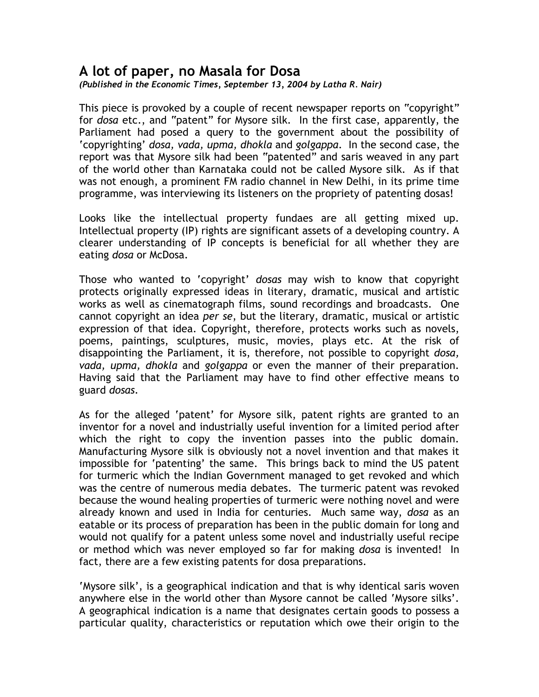## **A lot of paper, no Masala for Dosa**

*(Published in the Economic Times, September 13, 2004 by Latha R. Nair)* 

This piece is provoked by a couple of recent newspaper reports on "copyright" for *dosa* etc., and "patent" for Mysore silk. In the first case, apparently, the Parliament had posed a query to the government about the possibility of 'copyrighting' *dosa, vada, upma, dhokla* and *golgappa*. In the second case, the report was that Mysore silk had been "patented" and saris weaved in any part of the world other than Karnataka could not be called Mysore silk. As if that was not enough, a prominent FM radio channel in New Delhi, in its prime time programme, was interviewing its listeners on the propriety of patenting dosas!

Looks like the intellectual property fundaes are all getting mixed up. Intellectual property (IP) rights are significant assets of a developing country. A clearer understanding of IP concepts is beneficial for all whether they are eating *dosa* or McDosa.

Those who wanted to 'copyright' *dosas* may wish to know that copyright protects originally expressed ideas in literary, dramatic, musical and artistic works as well as cinematograph films, sound recordings and broadcasts. One cannot copyright an idea *per se*, but the literary, dramatic, musical or artistic expression of that idea. Copyright, therefore, protects works such as novels, poems, paintings, sculptures, music, movies, plays etc. At the risk of disappointing the Parliament, it is, therefore, not possible to copyright *dosa, vada, upma, dhokla* and *golgappa* or even the manner of their preparation. Having said that the Parliament may have to find other effective means to guard *dosas*.

As for the alleged 'patent' for Mysore silk, patent rights are granted to an inventor for a novel and industrially useful invention for a limited period after which the right to copy the invention passes into the public domain. Manufacturing Mysore silk is obviously not a novel invention and that makes it impossible for 'patenting' the same. This brings back to mind the US patent for turmeric which the Indian Government managed to get revoked and which was the centre of numerous media debates. The turmeric patent was revoked because the wound healing properties of turmeric were nothing novel and were already known and used in India for centuries. Much same way, *dosa* as an eatable or its process of preparation has been in the public domain for long and would not qualify for a patent unless some novel and industrially useful recipe or method which was never employed so far for making *dosa* is invented! In fact, there are a few existing patents for dosa preparations.

'Mysore silk', is a geographical indication and that is why identical saris woven anywhere else in the world other than Mysore cannot be called 'Mysore silks'. A geographical indication is a name that designates certain goods to possess a particular quality, characteristics or reputation which owe their origin to the